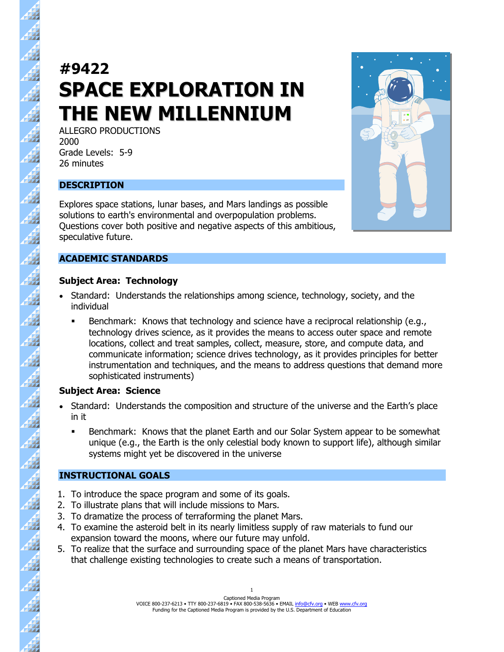# **#9422 SPACE EXPLORATION IN THE NEW MILLENNIUM**

ALLEGRO PRODUCTIONS 2000 Grade Levels: 5-9 26 minutes

# **DESCRIPTION**

44

 $\overline{A}$ 

A

 $\mathbf{A}$ 

4

47

11

44

47

 $\frac{4}{3}$ 

 $\overline{\mathbf{A}}$ 

 $\vec{A}$ 

44

47

税

Explores space stations, lunar bases, and Mars landings as possible solutions to earth's environmental and overpopulation problems. Questions cover both positive and negative aspects of this ambitious, speculative future.

# **ACADEMIC STANDARDS**

# **Subject Area: Technology**

- Standard: Understands the relationships among science, technology, society, and the individual
	- Benchmark: Knows that technology and science have a reciprocal relationship (e.g., technology drives science, as it provides the means to access outer space and remote locations, collect and treat samples, collect, measure, store, and compute data, and communicate information; science drives technology, as it provides principles for better instrumentation and techniques, and the means to address questions that demand more sophisticated instruments)

# **Subject Area: Science**

- Standard: Understands the composition and structure of the universe and the Earth's place in it
	- Benchmark: Knows that the planet Earth and our Solar System appear to be somewhat unique (e.g., the Earth is the only celestial body known to support life), although similar systems might yet be discovered in the universe

# **INSTRUCTIONAL GOALS**

- 1. To introduce the space program and some of its goals.
- 2. To illustrate plans that will include missions to Mars.
- 3. To dramatize the process of terraforming the planet Mars.
- 4. To examine the asteroid belt in its nearly limitless supply of raw materials to fund our expansion toward the moons, where our future may unfold.
- 5. To realize that the surface and surrounding space of the planet Mars have characteristics that challenge existing technologies to create such a means of transportation.

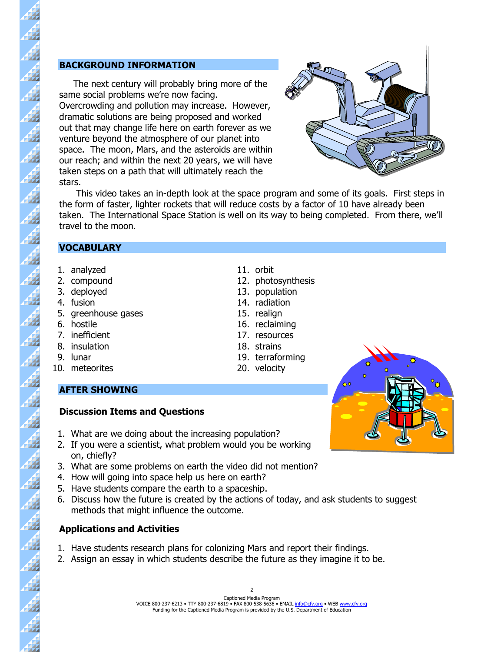### **BACKGROUND INFORMATION**

 The next century will probably bring more of the same social problems we're now facing. Overcrowding and pollution may increase. However, dramatic solutions are being proposed and worked out that may change life here on earth forever as we venture beyond the atmosphere of our planet into space. The moon, Mars, and the asteroids are within our reach; and within the next 20 years, we will have taken steps on a path that will ultimately reach the stars.



 This video takes an in-depth look at the space program and some of its goals. First steps in the form of faster, lighter rockets that will reduce costs by a factor of 10 have already been taken. The International Space Station is well on its way to being completed. From there, we'll travel to the moon.

#### **VOCABULARY**

- 1. analyzed 11. orbit
- 2. compound 12. photosynthesis
- 3. deployed 13. population
- 4. fusion 14. radiation

 $\overline{A}$ 

4

 $\mathbf{A}$ 

 $\vec{A}$ 

44

11

44

4

44

- 5. greenhouse gases 15. realign
- 6. hostile 16. reclaiming
- 7. inefficient 17. resources
- 8. insulation 18. strains
- 9. lunar 19. terraforming
- 10. meteorites 20. velocity

# **AFTER SHOWING**

# **Discussion Items and Questions**

- 1. What are we doing about the increasing population?
- 2. If you were a scientist, what problem would you be working on, chiefly?
- 3. What are some problems on earth the video did not mention?
- 4. How will going into space help us here on earth?
- 5. Have students compare the earth to a spaceship.
- 6. Discuss how the future is created by the actions of today, and ask students to suggest methods that might influence the outcome.

# **Applications and Activities**

- 1. Have students research plans for colonizing Mars and report their findings.
- 2. Assign an essay in which students describe the future as they imagine it to be.